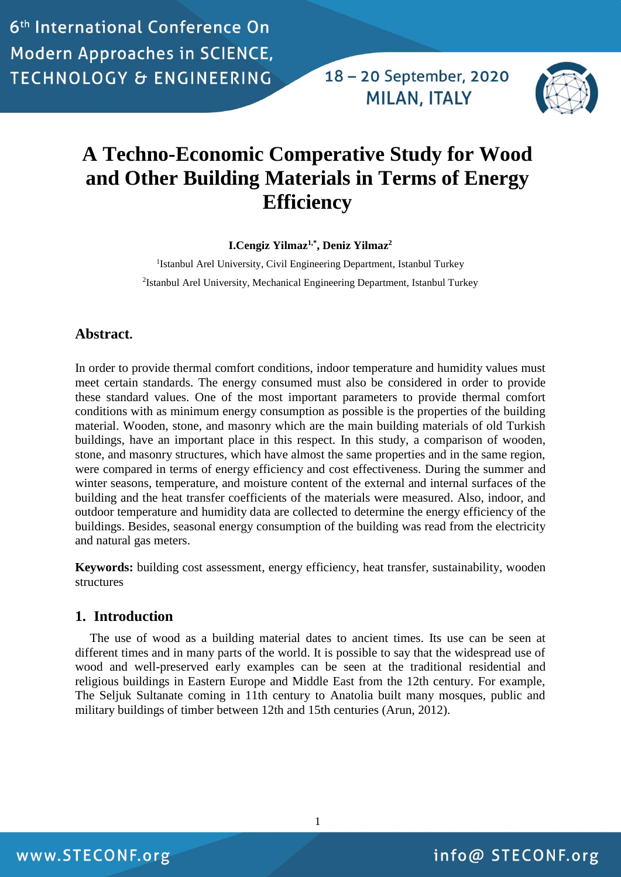18 - 20 September, 2020 **MILAN, ITALY** 



# **A Techno-Economic Comperative Study for Wood and Other Building Materials in Terms of Energy Efficiency**

**I.Cengiz Yilmaz1,\* , Deniz Yilmaz<sup>2</sup>**

<sup>1</sup>Istanbul Arel University, Civil Engineering Department, Istanbul Turkey 2 Istanbul Arel University, Mechanical Engineering Department, Istanbul Turkey

#### **Abstract.**

In order to provide thermal comfort conditions, indoor temperature and humidity values must meet certain standards. The energy consumed must also be considered in order to provide these standard values. One of the most important parameters to provide thermal comfort conditions with as minimum energy consumption as possible is the properties of the building material. Wooden, stone, and masonry which are the main building materials of old Turkish buildings, have an important place in this respect. In this study, a comparison of wooden, stone, and masonry structures, which have almost the same properties and in the same region, were compared in terms of energy efficiency and cost effectiveness. During the summer and winter seasons, temperature, and moisture content of the external and internal surfaces of the building and the heat transfer coefficients of the materials were measured. Also, indoor, and outdoor temperature and humidity data are collected to determine the energy efficiency of the buildings. Besides, seasonal energy consumption of the building was read from the electricity and natural gas meters.

**Keywords:** building cost assessment, energy efficiency, heat transfer, sustainability, wooden structures

#### **1. Introduction**

The use of wood as a building material dates to ancient times. Its use can be seen at different times and in many parts of the world. It is possible to say that the widespread use of wood and well-preserved early examples can be seen at the traditional residential and religious buildings in Eastern Europe and Middle East from the 12th century. For example, The Seljuk Sultanate coming in 11th century to Anatolia built many mosques, public and military buildings of timber between 12th and 15th centuries (Arun, 2012).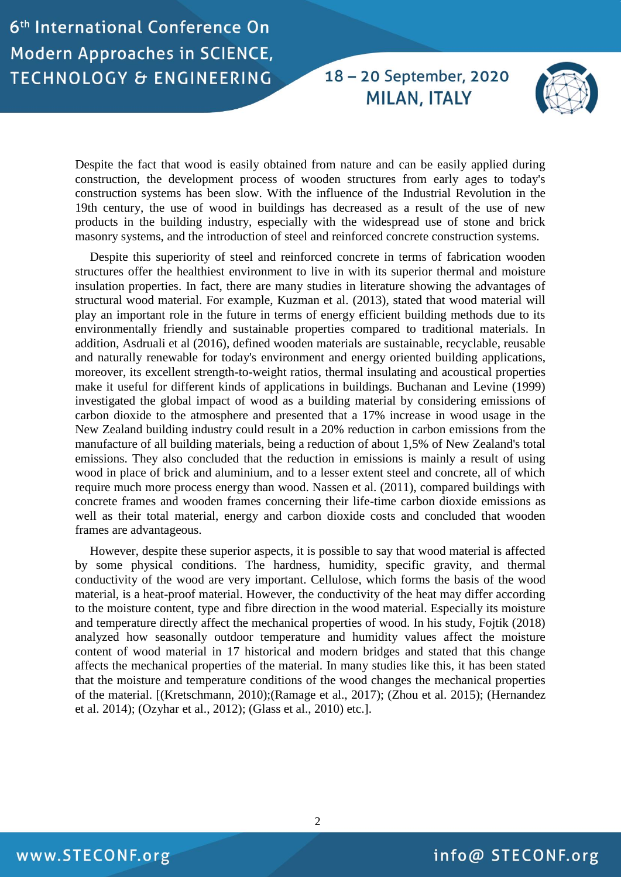18 - 20 September, 2020 **MILAN, ITALY** 



Despite the fact that wood is easily obtained from nature and can be easily applied during construction, the development process of wooden structures from early ages to today's construction systems has been slow. With the influence of the Industrial Revolution in the 19th century, the use of wood in buildings has decreased as a result of the use of new products in the building industry, especially with the widespread use of stone and brick masonry systems, and the introduction of steel and reinforced concrete construction systems.

Despite this superiority of steel and reinforced concrete in terms of fabrication wooden structures offer the healthiest environment to live in with its superior thermal and moisture insulation properties. In fact, there are many studies in literature showing the advantages of structural wood material. For example, Kuzman et al. (2013), stated that wood material will play an important role in the future in terms of energy efficient building methods due to its environmentally friendly and sustainable properties compared to traditional materials. In addition, Asdruali et al (2016), defined wooden materials are sustainable, recyclable, reusable and naturally renewable for today's environment and energy oriented building applications, moreover, its excellent strength-to-weight ratios, thermal insulating and acoustical properties make it useful for different kinds of applications in buildings. Buchanan and Levine (1999) investigated the global impact of wood as a building material by considering emissions of carbon dioxide to the atmosphere and presented that a 17% increase in wood usage in the New Zealand building industry could result in a 20% reduction in carbon emissions from the manufacture of all building materials, being a reduction of about 1,5% of New Zealand's total emissions. They also concluded that the reduction in emissions is mainly a result of using wood in place of brick and aluminium, and to a lesser extent steel and concrete, all of which require much more process energy than wood. Nassen et al. (2011), compared buildings with concrete frames and wooden frames concerning their life-time carbon dioxide emissions as well as their total material, energy and carbon dioxide costs and concluded that wooden frames are advantageous.

However, despite these superior aspects, it is possible to say that wood material is affected by some physical conditions. The hardness, humidity, specific gravity, and thermal conductivity of the wood are very important. Cellulose, which forms the basis of the wood material, is a heat-proof material. However, the conductivity of the heat may differ according to the moisture content, type and fibre direction in the wood material. Especially its moisture and temperature directly affect the mechanical properties of wood. In his study, Fojtik (2018) analyzed how seasonally outdoor temperature and humidity values affect the moisture content of wood material in 17 historical and modern bridges and stated that this change affects the mechanical properties of the material. In many studies like this, it has been stated that the moisture and temperature conditions of the wood changes the mechanical properties of the material. [(Kretschmann, 2010);(Ramage et al., 2017); (Zhou et al. 2015); (Hernandez et al. 2014); (Ozyhar et al., 2012); (Glass et al., 2010) etc.].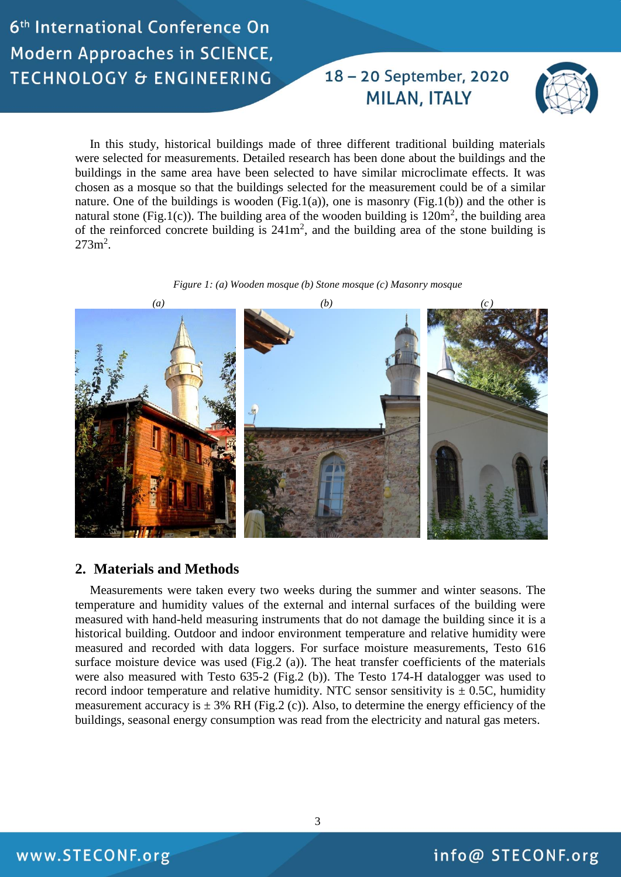### 18 - 20 September, 2020 **MILAN, ITALY**



In this study, historical buildings made of three different traditional building materials were selected for measurements. Detailed research has been done about the buildings and the buildings in the same area have been selected to have similar microclimate effects. It was chosen as a mosque so that the buildings selected for the measurement could be of a similar nature. One of the buildings is wooden (Fig.1(a)), one is masonry (Fig.1(b)) and the other is natural stone (Fig.1(c)). The building area of the wooden building is  $120m^2$ , the building area of the reinforced concrete building is  $241m^2$ , and the building area of the stone building is  $273m^2$ .





#### **2. Materials and Methods**

Measurements were taken every two weeks during the summer and winter seasons. The temperature and humidity values of the external and internal surfaces of the building were measured with hand-held measuring instruments that do not damage the building since it is a historical building. Outdoor and indoor environment temperature and relative humidity were measured and recorded with data loggers. For surface moisture measurements, Testo 616 surface moisture device was used (Fig.2 (a)). The heat transfer coefficients of the materials were also measured with Testo 635-2 (Fig.2 (b)). The Testo 174-H datalogger was used to record indoor temperature and relative humidity. NTC sensor sensitivity is  $\pm$  0.5C, humidity measurement accuracy is  $\pm$  3% RH (Fig.2 (c)). Also, to determine the energy efficiency of the buildings, seasonal energy consumption was read from the electricity and natural gas meters.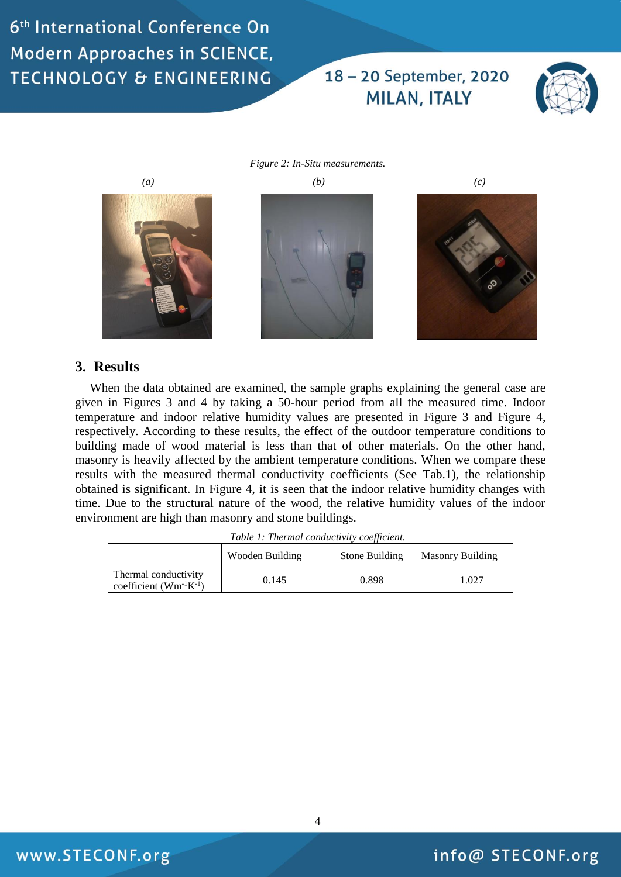## 18 - 20 September, 2020 **MILAN, ITALY**



*Figure 2: In-Situ measurements. (a) (b) (c)* 

#### **3. Results**

When the data obtained are examined, the sample graphs explaining the general case are given in Figures 3 and 4 by taking a 50-hour period from all the measured time. Indoor temperature and indoor relative humidity values are presented in Figure 3 and Figure 4, respectively. According to these results, the effect of the outdoor temperature conditions to building made of wood material is less than that of other materials. On the other hand, masonry is heavily affected by the ambient temperature conditions. When we compare these results with the measured thermal conductivity coefficients (See Tab.1), the relationship obtained is significant. In Figure 4, it is seen that the indoor relative humidity changes with time. Due to the structural nature of the wood, the relative humidity values of the indoor environment are high than masonry and stone buildings.

*Table 1: Thermal conductivity coefficient.*

|                                                       | Wooden Building | Stone Building | Masonry Building |
|-------------------------------------------------------|-----------------|----------------|------------------|
| Thermal conductivity<br>coefficient $(Wm^{-1}K^{-1})$ | 0.145           | 0.898          | 1.027            |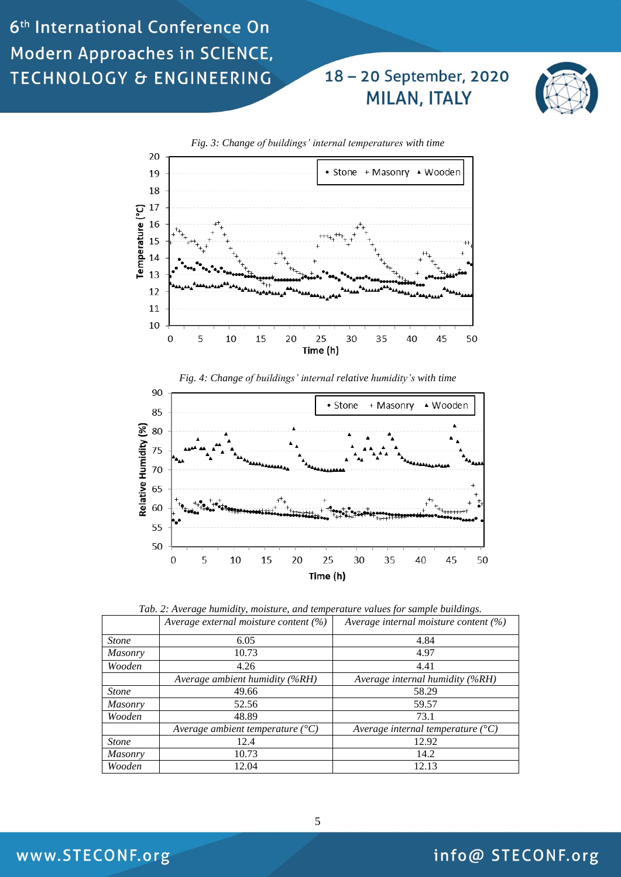## 18-20 September, 2020 **MILAN, ITALY**







*Tab. 2: Average humidity, moisture, and temperature values for sample buildings.*

|                | Average external moisture content $(\%)$  | Average internal moisture content $(\%)$   |
|----------------|-------------------------------------------|--------------------------------------------|
| <b>Stone</b>   | 6.05                                      | 4.84                                       |
| <b>Masonry</b> | 10.73                                     | 4.97                                       |
| Wooden         | 4.26                                      | 4.41                                       |
|                | Average ambient humidity (%RH)            | Average internal humidity (%RH)            |
| <b>Stone</b>   | 49.66                                     | 58.29                                      |
| <b>Masonry</b> | 52.56                                     | 59.57                                      |
| Wooden         | 48.89                                     | 73.1                                       |
|                | Average ambient temperature $(^{\circ}C)$ | Average internal temperature $(^{\circ}C)$ |
| <b>Stone</b>   | 12.4                                      | 12.92                                      |
| <b>Masonry</b> | 10.73                                     | 14.2                                       |
| Wooden         | 12.04                                     | 12.13                                      |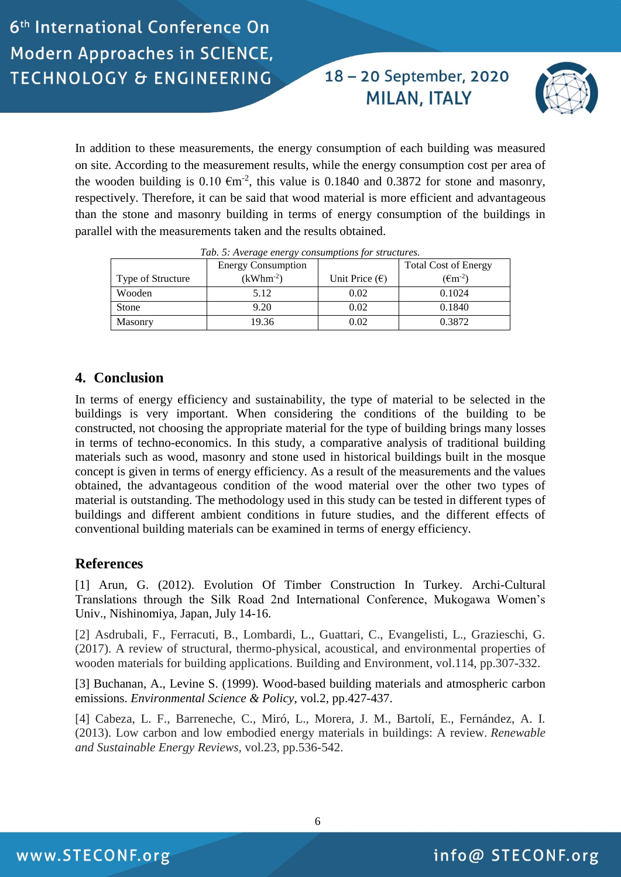18-20 September, 2020 **MILAN, ITALY** 



In addition to these measurements, the energy consumption of each building was measured on site. According to the measurement results, while the energy consumption cost per area of the wooden building is 0.10  $\epsilon$ m<sup>-2</sup>, this value is 0.1840 and 0.3872 for stone and masonry, respectively. Therefore, it can be said that wood material is more efficient and advantageous than the stone and masonry building in terms of energy consumption of the buildings in parallel with the measurements taken and the results obtained.

|                   | <b>Energy Consumption</b> |                         | <b>Total Cost of Energy</b>    |
|-------------------|---------------------------|-------------------------|--------------------------------|
| Type of Structure | $(kWhm-2)$                | Unit Price $(\epsilon)$ | $(\text{\textsterling}m^{-2})$ |
| Wooden            | 5.12                      | 0.02                    | 0.1024                         |
| <b>Stone</b>      | 9.20                      | 0.02                    | 0.1840                         |
| Masonry           | 19.36                     | 0.02                    | 0.3872                         |

*Tab. 5: Average energy consumptions for structures.*

#### **4. Conclusion**

In terms of energy efficiency and sustainability, the type of material to be selected in the buildings is very important. When considering the conditions of the building to be constructed, not choosing the appropriate material for the type of building brings many losses in terms of techno-economics. In this study, a comparative analysis of traditional building materials such as wood, masonry and stone used in historical buildings built in the mosque concept is given in terms of energy efficiency. As a result of the measurements and the values obtained, the advantageous condition of the wood material over the other two types of material is outstanding. The methodology used in this study can be tested in different types of buildings and different ambient conditions in future studies, and the different effects of conventional building materials can be examined in terms of energy efficiency.

#### **References**

[1] Arun, G. (2012). Evolution Of Timber Construction In Turkey. Archi-Cultural Translations through the Silk Road 2nd International Conference, Mukogawa Women's Univ., Nishinomiya, Japan, July 14-16.

[2] Asdrubali, F., Ferracuti, B., Lombardi, L., Guattari, C., Evangelisti, L., Grazieschi, G. (2017). A review of structural, thermo-physical, acoustical, and environmental properties of wooden materials for building applications. Building and Environment, vol.114, pp.307-332.

[3] Buchanan, A., Levine S. (1999). Wood-based building materials and atmospheric carbon emissions. *Environmental Science & Policy*, vol.2, pp.427-437.

[4] Cabeza, L. F., Barreneche, C., Miró, L., Morera, J. M., Bartolí, E., Fernández, A. I. (2013). Low carbon and low embodied energy materials in buildings: A review. *Renewable and Sustainable Energy Reviews,* vol.23, pp.536-542.